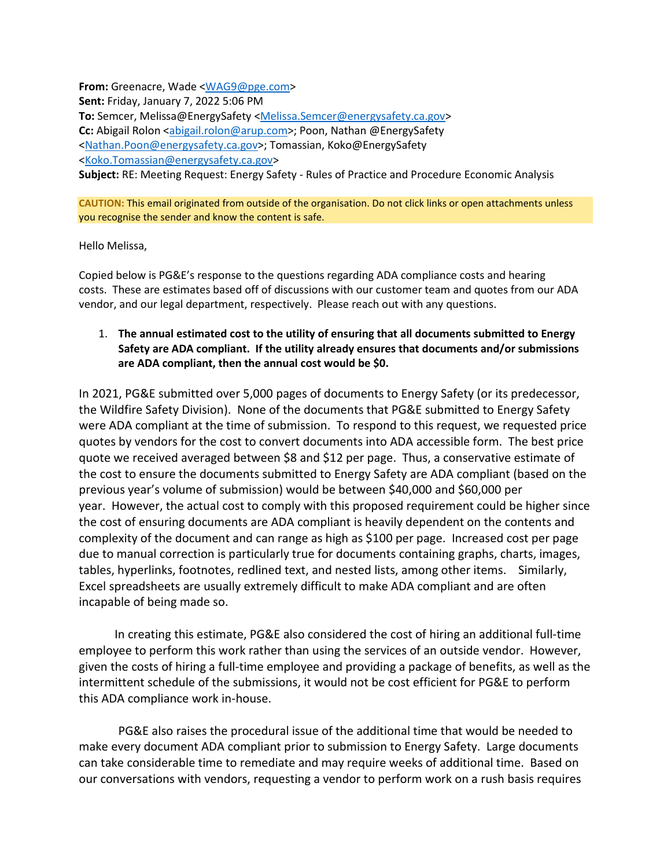**From:** Greenacre, Wade [<WAG9@pge.com>](mailto:WAG9@pge.com) **Sent:** Friday, January 7, 2022 5:06 PM **To:** Semcer, Melissa@EnergySafety [<Melissa.Semcer@energysafety.ca.gov>](mailto:Melissa.Semcer@energysafety.ca.gov) **Cc:** Abigail Rolon [<abigail.rolon@arup.com>](mailto:abigail.rolon@arup.com); Poon, Nathan @EnergySafety [<Nathan.Poon@energysafety.ca.gov>](mailto:Nathan.Poon@energysafety.ca.gov); Tomassian, Koko@EnergySafety [<Koko.Tomassian@energysafety.ca.gov>](mailto:Koko.Tomassian@energysafety.ca.gov) **Subject:** RE: Meeting Request: Energy Safety - Rules of Practice and Procedure Economic Analysis

**CAUTION:** This email originated from outside of the organisation. Do not click links or open attachments unless you recognise the sender and know the content is safe.

Hello Melissa,

Copied below is PG&E's response to the questions regarding ADA compliance costs and hearing costs. These are estimates based off of discussions with our customer team and quotes from our ADA vendor, and our legal department, respectively. Please reach out with any questions.

# 1. **The annual estimated cost to the utility of ensuring that all documents submitted to Energy Safety are ADA compliant. If the utility already ensures that documents and/or submissions are ADA compliant, then the annual cost would be \$0.**

In 2021, PG&E submitted over 5,000 pages of documents to Energy Safety (or its predecessor, the Wildfire Safety Division). None of the documents that PG&E submitted to Energy Safety were ADA compliant at the time of submission. To respond to this request, we requested price quotes by vendors for the cost to convert documents into ADA accessible form. The best price quote we received averaged between \$8 and \$12 per page. Thus, a conservative estimate of the cost to ensure the documents submitted to Energy Safety are ADA compliant (based on the previous year's volume of submission) would be between \$40,000 and \$60,000 per year. However, the actual cost to comply with this proposed requirement could be higher since the cost of ensuring documents are ADA compliant is heavily dependent on the contents and complexity of the document and can range as high as \$100 per page. Increased cost per page due to manual correction is particularly true for documents containing graphs, charts, images, tables, hyperlinks, footnotes, redlined text, and nested lists, among other items. Similarly, Excel spreadsheets are usually extremely difficult to make ADA compliant and are often incapable of being made so.

 In creating this estimate, PG&E also considered the cost of hiring an additional full-time employee to perform this work rather than using the services of an outside vendor. However, given the costs of hiring a full-time employee and providing a package of benefits, as well as the intermittent schedule of the submissions, it would not be cost efficient for PG&E to perform this ADA compliance work in-house.

PG&E also raises the procedural issue of the additional time that would be needed to make every document ADA compliant prior to submission to Energy Safety. Large documents can take considerable time to remediate and may require weeks of additional time. Based on our conversations with vendors, requesting a vendor to perform work on a rush basis requires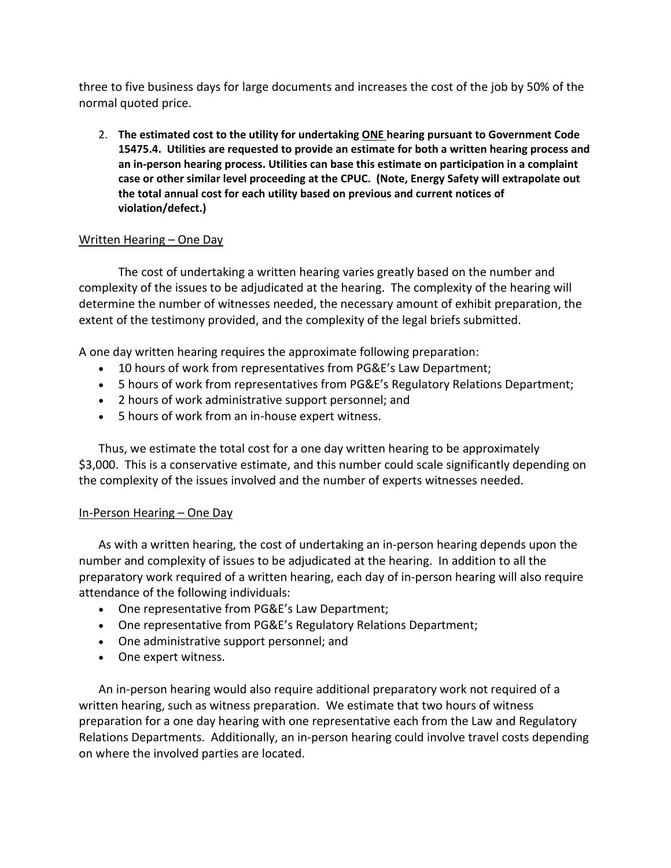three to five business days for large documents and increases the cost of the job by 50% of the normal quoted price.

2. **The estimated cost to the utility for undertaking ONE hearing pursuant to Government Code 15475.4. Utilities are requested to provide an estimate for both a written hearing process and an in-person hearing process. Utilities can base this estimate on participation in a complaint case or other similar level proceeding at the CPUC. (Note, Energy Safety will extrapolate out the total annual cost for each utility based on previous and current notices of violation/defect.)**

# Written Hearing – One Day

The cost of undertaking a written hearing varies greatly based on the number and complexity of the issues to be adjudicated at the hearing. The complexity of the hearing will determine the number of witnesses needed, the necessary amount of exhibit preparation, the extent of the testimony provided, and the complexity of the legal briefs submitted.

A one day written hearing requires the approximate following preparation:

- 10 hours of work from representatives from PG&E's Law Department;
- 5 hours of work from representatives from PG&E's Regulatory Relations Department;
- 2 hours of work administrative support personnel; and
- 5 hours of work from an in-house expert witness.

Thus, we estimate the total cost for a one day written hearing to be approximately \$3,000. This is a conservative estimate, and this number could scale significantly depending on the complexity of the issues involved and the number of experts witnesses needed.

# In-Person Hearing – One Day

As with a written hearing, the cost of undertaking an in-person hearing depends upon the number and complexity of issues to be adjudicated at the hearing. In addition to all the preparatory work required of a written hearing, each day of in-person hearing will also require attendance of the following individuals:

- One representative from PG&E's Law Department;
- One representative from PG&E's Regulatory Relations Department;
- One administrative support personnel; and
- One expert witness.

An in-person hearing would also require additional preparatory work not required of a written hearing, such as witness preparation. We estimate that two hours of witness preparation for a one day hearing with one representative each from the Law and Regulatory Relations Departments. Additionally, an in-person hearing could involve travel costs depending on where the involved parties are located.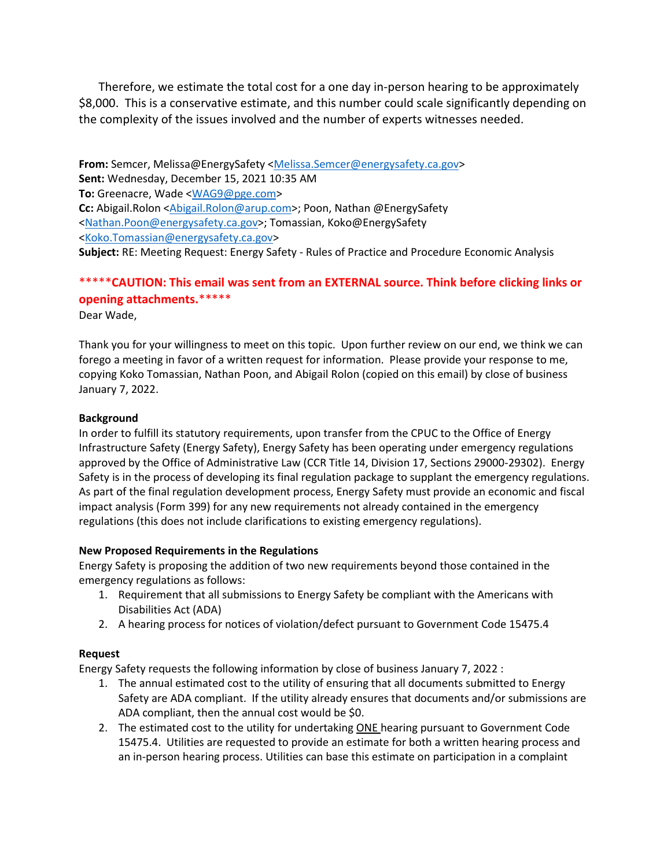Therefore, we estimate the total cost for a one day in-person hearing to be approximately \$8,000. This is a conservative estimate, and this number could scale significantly depending on the complexity of the issues involved and the number of experts witnesses needed.

**From:** Semcer, Melissa@EnergySafety [<Melissa.Semcer@energysafety.ca.gov>](mailto:Melissa.Semcer@energysafety.ca.gov) **Sent:** Wednesday, December 15, 2021 10:35 AM **To:** Greenacre, Wade [<WAG9@pge.com>](mailto:WAG9@pge.com) **Cc:** Abigail.Rolon [<Abigail.Rolon@arup.com>](mailto:Abigail.Rolon@arup.com); Poon, Nathan @EnergySafety [<Nathan.Poon@energysafety.ca.gov>](mailto:Nathan.Poon@energysafety.ca.gov); Tomassian, Koko@EnergySafety [<Koko.Tomassian@energysafety.ca.gov>](mailto:Koko.Tomassian@energysafety.ca.gov) **Subject:** RE: Meeting Request: Energy Safety - Rules of Practice and Procedure Economic Analysis

# \*\*\*\*\***CAUTION: This email was sent from an EXTERNAL source. Think before clicking links or opening attachments.**\*\*\*\*\*

Dear Wade,

Thank you for your willingness to meet on this topic. Upon further review on our end, we think we can forego a meeting in favor of a written request for information. Please provide your response to me, copying Koko Tomassian, Nathan Poon, and Abigail Rolon (copied on this email) by close of business January 7, 2022.

#### **Background**

In order to fulfill its statutory requirements, upon transfer from the CPUC to the Office of Energy Infrastructure Safety (Energy Safety), Energy Safety has been operating under emergency regulations approved by the Office of Administrative Law (CCR Title 14, Division 17, Sections 29000-29302). Energy Safety is in the process of developing its final regulation package to supplant the emergency regulations. As part of the final regulation development process, Energy Safety must provide an economic and fiscal impact analysis (Form 399) for any new requirements not already contained in the emergency regulations (this does not include clarifications to existing emergency regulations).

# **New Proposed Requirements in the Regulations**

Energy Safety is proposing the addition of two new requirements beyond those contained in the emergency regulations as follows:

- 1. Requirement that all submissions to Energy Safety be compliant with the Americans with Disabilities Act (ADA)
- 2. A hearing process for notices of violation/defect pursuant to Government Code 15475.4

# **Request**

Energy Safety requests the following information by close of business January 7, 2022 :

- 1. The annual estimated cost to the utility of ensuring that all documents submitted to Energy Safety are ADA compliant. If the utility already ensures that documents and/or submissions are ADA compliant, then the annual cost would be \$0.
- 2. The estimated cost to the utility for undertaking ONE hearing pursuant to Government Code 15475.4. Utilities are requested to provide an estimate for both a written hearing process and an in-person hearing process. Utilities can base this estimate on participation in a complaint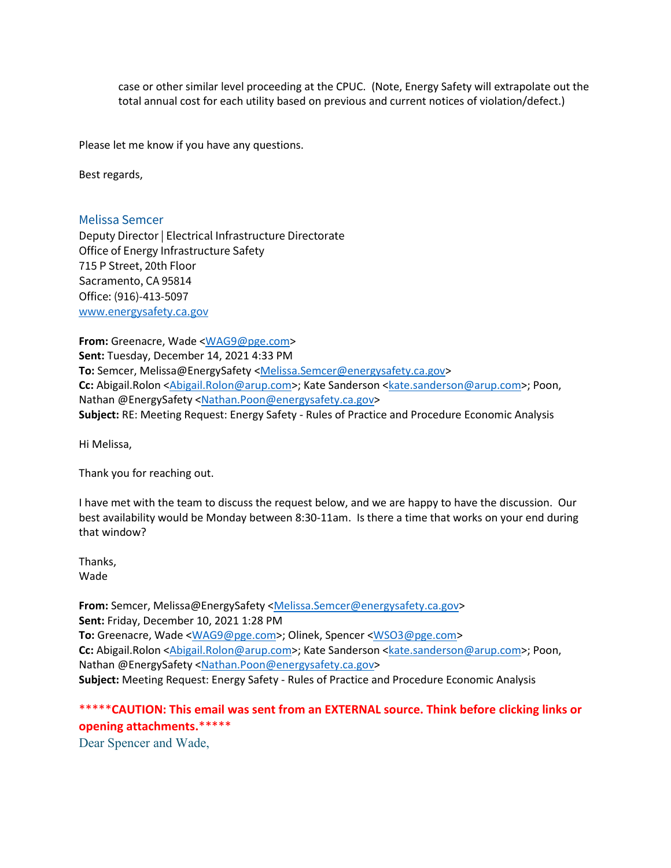case or other similar level proceeding at the CPUC. (Note, Energy Safety will extrapolate out the total annual cost for each utility based on previous and current notices of violation/defect.)

Please let me know if you have any questions.

Best regards,

Melissa Semcer

Deputy Director | Electrical Infrastructure Directorate Office of Energy Infrastructure Safety 715 P Street, 20th Floor Sacramento, CA 95814 Office: (916)-413-5097 [www.energysafety.ca.gov](http://secure-web.cisco.com/15WYuWi_PePXOm5CQFt1ElE2ZVVAT648mPJOmJfm2ujzWfgQVsUfqyQ_bqRCxzajj99IRT6G7CFRF8MvYEeM6JlZN5UzRqBO8p-RByzUH5i82XJRQRJLj3_rDcxHhHm7X_FF9V1ER_RACfZZpAy4UJ3C31fjMv0QHanCaDI9KTE3A8xzoGLNhoh-SEd-U5sojiGhWR4eoFpXnUXHZAWVFdIItCcD1mHMnPKiFl4NeHB8tO-5Nz2mrflQFZY7mGYuPTnz4JQLyy5rwdeBmqEfji-Bp7M1kfpjvl2fxw1e6KpZ5CDyzWsAmIPn7um8lKeYC/http%3A%2F%2Fwww.energysafety.ca.gov) 

**From:** Greenacre, Wade [<WAG9@pge.com>](mailto:WAG9@pge.com) **Sent:** Tuesday, December 14, 2021 4:33 PM To: Semcer, Melissa@EnergySafety [<Melissa.Semcer@energysafety.ca.gov>](mailto:Melissa.Semcer@energysafety.ca.gov) Cc: Abigail.Rolon [<Abigail.Rolon@arup.com>](mailto:Abigail.Rolon@arup.com); Kate Sanderson [<kate.sanderson@arup.com>](mailto:kate.sanderson@arup.com); Poon, Nathan @EnergySafety [<Nathan.Poon@energysafety.ca.gov>](mailto:Nathan.Poon@energysafety.ca.gov) **Subject:** RE: Meeting Request: Energy Safety - Rules of Practice and Procedure Economic Analysis

Hi Melissa,

Thank you for reaching out.

I have met with the team to discuss the request below, and we are happy to have the discussion. Our best availability would be Monday between 8:30-11am. Is there a time that works on your end during that window?

Thanks, Wade

From: Semcer, Melissa@EnergySafety [<Melissa.Semcer@energysafety.ca.gov>](mailto:Melissa.Semcer@energysafety.ca.gov) **Sent:** Friday, December 10, 2021 1:28 PM **To:** Greenacre, Wade [<WAG9@pge.com>](mailto:WAG9@pge.com); Olinek, Spencer [<WSO3@pge.com>](mailto:WSO3@pge.com) **Cc:** Abigail.Rolon [<Abigail.Rolon@arup.com>](mailto:Abigail.Rolon@arup.com); Kate Sanderson [<kate.sanderson@arup.com>](mailto:kate.sanderson@arup.com); Poon, Nathan @EnergySafety [<Nathan.Poon@energysafety.ca.gov>](mailto:Nathan.Poon@energysafety.ca.gov) **Subject:** Meeting Request: Energy Safety - Rules of Practice and Procedure Economic Analysis

# \*\*\*\*\***CAUTION: This email was sent from an EXTERNAL source. Think before clicking links or opening attachments.**\*\*\*\*\*

Dear Spencer and Wade,